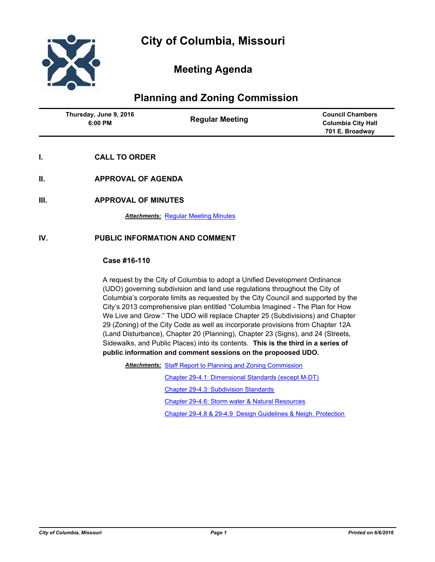

# **Meeting Agenda**

# **Planning and Zoning Commission**

| Thursday, June 9, 2016<br>$6:00$ PM | <b>Regular Meeting</b> | <b>Council Chambers</b><br><b>Columbia City Hall</b><br>701 E. Broadway |
|-------------------------------------|------------------------|-------------------------------------------------------------------------|
|                                     |                        |                                                                         |

# **I. CALL TO ORDER**

- **II. APPROVAL OF AGENDA**
- **III. APPROVAL OF MINUTES**

**Attachments: [Regular Meeting Minutes](http://gocolumbiamo.legistar.com/gateway.aspx?M=F&ID=752ac7af-f92d-47c9-b943-47ca638ebce6.docx)** 

# **IV. PUBLIC INFORMATION AND COMMENT**

### **Case #16-110**

A request by the City of Columbia to adopt a Unified Development Ordinance (UDO) governing subdivision and land use regulations throughout the City of Columbia's corporate limits as requested by the City Council and supported by the City's 2013 comprehensive plan entitled "Columbia Imagined - The Plan for How We Live and Grow." The UDO will replace Chapter 25 (Subdivisions) and Chapter 29 (Zoning) of the City Code as well as incorporate provisions from Chapter 12A (Land Disturbance), Chapter 20 (Planning), Chapter 23 (Signs), and 24 (Streets, Sidewalks, and Public Places) into its contents. **This is the third in a series of public information and comment sessions on the propoosed UDO.** 

Attachments: [Staff Report to Planning and Zoning Commission](http://gocolumbiamo.legistar.com/gateway.aspx?M=F&ID=3f8d0ad7-796d-454c-9e58-c95e42cfac88.doc)

[Chapter 29-4.1: Dimensional Standards \(except M-DT\)](http://gocolumbiamo.legistar.com/gateway.aspx?M=F&ID=a4e5d7fd-3750-4f96-9f94-a5d9a9049c10.pdf)

[Chapter 29-4.3: Subdivision Standards](http://gocolumbiamo.legistar.com/gateway.aspx?M=F&ID=99ac97b1-d3c7-47c8-b5d5-034433164a7a.pdf)

[Chapter 29-4.6: Storm water & Natural Resources](http://gocolumbiamo.legistar.com/gateway.aspx?M=F&ID=2fad2900-9e3f-4df6-8cfc-4ad29fa7a63c.pdf)

[Chapter 29-4.8 & 29-4.9 Design Guidelines & Neigh. Protection](http://gocolumbiamo.legistar.com/gateway.aspx?M=F&ID=862a7df3-a607-4a1b-9d88-4a43601aba33.pdf)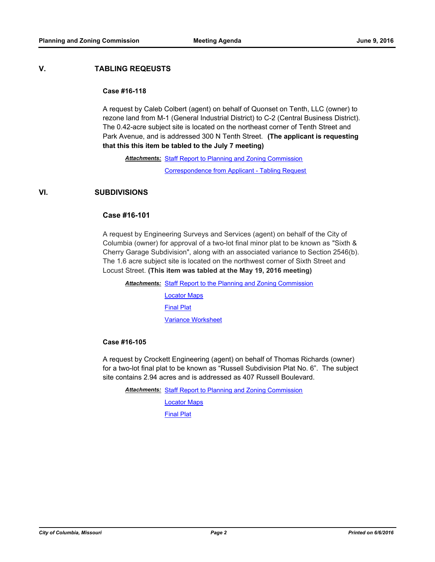## **V. TABLING REQEUSTS**

#### **Case #16-118**

A request by Caleb Colbert (agent) on behalf of Quonset on Tenth, LLC (owner) to rezone land from M-1 (General Industrial District) to C-2 (Central Business District). The 0.42-acre subject site is located on the northeast corner of Tenth Street and Park Avenue, and is addressed 300 N Tenth Street. **(The applicant is requesting that this this item be tabled to the July 7 meeting)**

Attachments: [Staff Report to Planning and Zoning Commission](http://gocolumbiamo.legistar.com/gateway.aspx?M=F&ID=63e60b95-44ba-460d-9847-fea9d38d8466.pdf)

[Correspondence from Applicant - Tabling Request](http://gocolumbiamo.legistar.com/gateway.aspx?M=F&ID=10cc4bdf-bdeb-44b9-b7ff-7f662760f975.pdf)

## **VI. SUBDIVISIONS**

### **Case #16-101**

A request by Engineering Surveys and Services (agent) on behalf of the City of Columbia (owner) for approval of a two-lot final minor plat to be known as "Sixth & Cherry Garage Subdivision", along with an associated variance to Section 2546(b). The 1.6 acre subject site is located on the northwest corner of Sixth Street and Locust Street. **(This item was tabled at the May 19, 2016 meeting)**

**Attachments: [Staff Report to the Planning and Zoning Commission](http://gocolumbiamo.legistar.com/gateway.aspx?M=F&ID=17776217-4c88-4fea-ae88-0220c42caa53.pdf)** [Locator Maps](http://gocolumbiamo.legistar.com/gateway.aspx?M=F&ID=3cf8a1ac-ee6f-49a2-993b-e5461958546c.pdf) [Final Plat](http://gocolumbiamo.legistar.com/gateway.aspx?M=F&ID=81de0347-3ecf-4ec8-8a99-2ce518b953ec.pdf) [Variance Worksheet](http://gocolumbiamo.legistar.com/gateway.aspx?M=F&ID=d713c414-130d-4214-9e25-12975effff46.pdf)

#### **Case #16-105**

A request by Crockett Engineering (agent) on behalf of Thomas Richards (owner) for a two-lot final plat to be known as "Russell Subdivision Plat No. 6". The subject site contains 2.94 acres and is addressed as 407 Russell Boulevard.

Attachments: [Staff Report to Planning and Zoning Commission](http://gocolumbiamo.legistar.com/gateway.aspx?M=F&ID=4395ff77-c6e4-49a6-8b27-e5e287134127.docx)

[Locator Maps](http://gocolumbiamo.legistar.com/gateway.aspx?M=F&ID=153d80cd-c421-49cf-90e3-79b3305ae44c.pdf)

[Final Plat](http://gocolumbiamo.legistar.com/gateway.aspx?M=F&ID=3622aa33-da67-4baa-909d-8d8d0d5c7311.pdf)